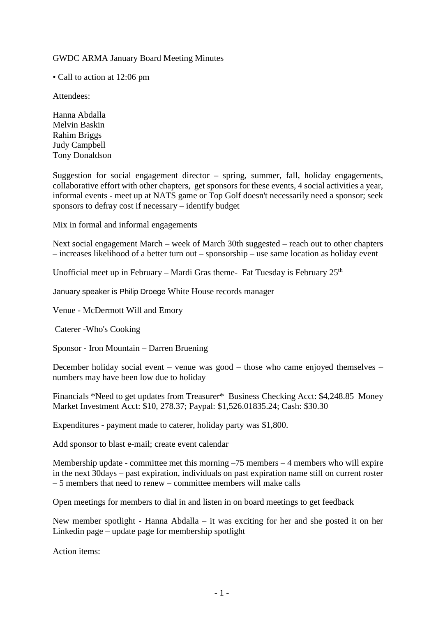GWDC ARMA January Board Meeting Minutes

• Call to action at 12:06 pm

Attendees:

Hanna Abdalla Melvin Baskin Rahim Briggs Judy Campbell Tony Donaldson

Suggestion for social engagement director – spring, summer, fall, holiday engagements, collaborative effort with other chapters, get sponsors for these events, 4 social activities a year, informal events - meet up at NATS game or Top Golf doesn't necessarily need a sponsor; seek sponsors to defray cost if necessary – identify budget

Mix in formal and informal engagements

Next social engagement March – week of March 30th suggested – reach out to other chapters – increases likelihood of a better turn out – sponsorship – use same location as holiday event

Unofficial meet up in February – Mardi Gras theme- Fat Tuesday is February  $25<sup>th</sup>$ 

January speaker is Philip Droege White House records manager

Venue - McDermott Will and Emory

Caterer -Who's Cooking

Sponsor - Iron Mountain – Darren Bruening

December holiday social event – venue was good – those who came enjoyed themselves – numbers may have been low due to holiday

Financials \*Need to get updates from Treasurer\* Business Checking Acct: \$4,248.85 Money Market Investment Acct: \$10, 278.37; Paypal: \$1,526.01835.24; Cash: \$30.30

Expenditures - payment made to caterer, holiday party was \$1,800.

Add sponsor to blast e-mail; create event calendar

Membership update - committee met this morning –75 members – 4 members who will expire in the next 30days – past expiration, individuals on past expiration name still on current roster – 5 members that need to renew – committee members will make calls

Open meetings for members to dial in and listen in on board meetings to get feedback

New member spotlight - Hanna Abdalla – it was exciting for her and she posted it on her Linkedin page – update page for membership spotlight

Action items: